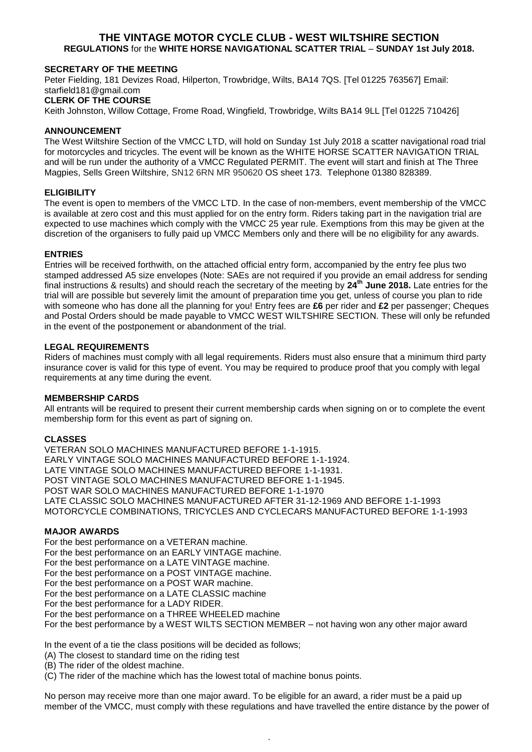# **THE VINTAGE MOTOR CYCLE CLUB - WEST WILTSHIRE SECTION REGULATIONS** for the **WHITE HORSE NAVIGATIONAL SCATTER TRIAL** – **SUNDAY 1st July 2018.**

# **SECRETARY OF THE MEETING**

Peter Fielding, 181 Devizes Road, Hilperton, Trowbridge, Wilts, BA14 7QS. [Tel 01225 763567] Email: starfield181@gmail.com

# **CLERK OF THE COURSE**

Keith Johnston, Willow Cottage, Frome Road, Wingfield, Trowbridge, Wilts BA14 9LL [Tel 01225 710426]

#### **ANNOUNCEMENT**

The West Wiltshire Section of the VMCC LTD, will hold on Sunday 1st July 2018 a scatter navigational road trial for motorcycles and tricycles. The event will be known as the WHITE HORSE SCATTER NAVIGATION TRIAL and will be run under the authority of a VMCC Regulated PERMIT. The event will start and finish at The Three Magpies, Sells Green Wiltshire, SN12 6RN MR 950620 OS sheet 173. Telephone 01380 828389.

#### **ELIGIBILITY**

The event is open to members of the VMCC LTD. In the case of non-members, event membership of the VMCC is available at zero cost and this must applied for on the entry form. Riders taking part in the navigation trial are expected to use machines which comply with the VMCC 25 year rule. Exemptions from this may be given at the discretion of the organisers to fully paid up VMCC Members only and there will be no eligibility for any awards.

#### **ENTRIES**

Entries will be received forthwith, on the attached official entry form, accompanied by the entry fee plus two stamped addressed A5 size envelopes (Note: SAEs are not required if you provide an email address for sending final instructions & results) and should reach the secretary of the meeting by **24th June 2018.** Late entries for the trial will are possible but severely limit the amount of preparation time you get, unless of course you plan to ride with someone who has done all the planning for you! Entry fees are **£6** per rider and **£2** per passenger; Cheques and Postal Orders should be made payable to VMCC WEST WILTSHIRE SECTION. These will only be refunded in the event of the postponement or abandonment of the trial.

### **LEGAL REQUIREMENTS**

Riders of machines must comply with all legal requirements. Riders must also ensure that a minimum third party insurance cover is valid for this type of event. You may be required to produce proof that you comply with legal requirements at any time during the event.

#### **MEMBERSHIP CARDS**

All entrants will be required to present their current membership cards when signing on or to complete the event membership form for this event as part of signing on.

#### **CLASSES**

VETERAN SOLO MACHINES MANUFACTURED BEFORE 1-1-1915. EARLY VINTAGE SOLO MACHINES MANUFACTURED BEFORE 1-1-1924. LATE VINTAGE SOLO MACHINES MANUFACTURED BEFORE 1-1-1931. POST VINTAGE SOLO MACHINES MANUFACTURED BEFORE 1-1-1945. POST WAR SOLO MACHINES MANUFACTURED BEFORE 1-1-1970 LATE CLASSIC SOLO MACHINES MANUFACTURED AFTER 31-12-1969 AND BEFORE 1-1-1993 MOTORCYCLE COMBINATIONS, TRICYCLES AND CYCLECARS MANUFACTURED BEFORE 1-1-1993

#### **MAJOR AWARDS**

For the best performance on a VETERAN machine. For the best performance on an EARLY VINTAGE machine. For the best performance on a LATE VINTAGE machine. For the best performance on a POST VINTAGE machine. For the best performance on a POST WAR machine. For the best performance on a LATE CLASSIC machine For the best performance for a LADY RIDER. For the best performance on a THREE WHEELED machine For the best performance by a WEST WILTS SECTION MEMBER – not having won any other major award

In the event of a tie the class positions will be decided as follows;

- (A) The closest to standard time on the riding test
- (B) The rider of the oldest machine.

(C) The rider of the machine which has the lowest total of machine bonus points.

No person may receive more than one major award. To be eligible for an award, a rider must be a paid up member of the VMCC, must comply with these regulations and have travelled the entire distance by the power of

.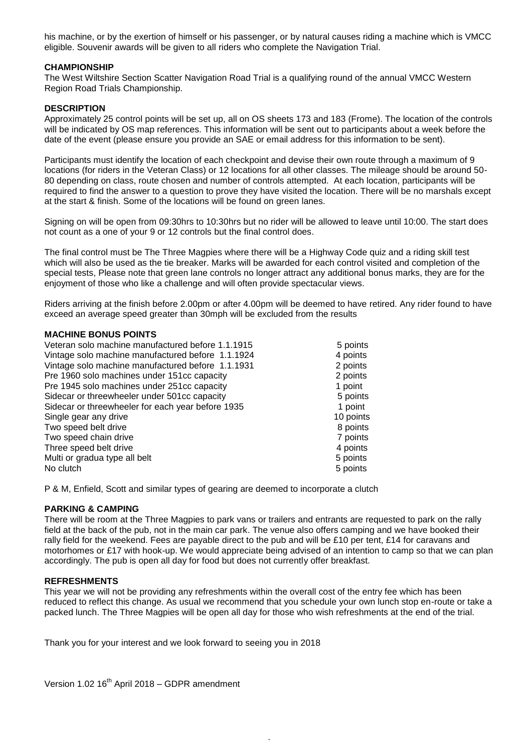his machine, or by the exertion of himself or his passenger, or by natural causes riding a machine which is VMCC eligible. Souvenir awards will be given to all riders who complete the Navigation Trial.

#### **CHAMPIONSHIP**

The West Wiltshire Section Scatter Navigation Road Trial is a qualifying round of the annual VMCC Western Region Road Trials Championship.

#### **DESCRIPTION**

Approximately 25 control points will be set up, all on OS sheets 173 and 183 (Frome). The location of the controls will be indicated by OS map references. This information will be sent out to participants about a week before the date of the event (please ensure you provide an SAE or email address for this information to be sent).

Participants must identify the location of each checkpoint and devise their own route through a maximum of 9 locations (for riders in the Veteran Class) or 12 locations for all other classes. The mileage should be around 50- 80 depending on class, route chosen and number of controls attempted. At each location, participants will be required to find the answer to a question to prove they have visited the location. There will be no marshals except at the start & finish. Some of the locations will be found on green lanes.

Signing on will be open from 09:30hrs to 10:30hrs but no rider will be allowed to leave until 10:00. The start does not count as a one of your 9 or 12 controls but the final control does.

The final control must be The Three Magpies where there will be a Highway Code quiz and a riding skill test which will also be used as the tie breaker. Marks will be awarded for each control visited and completion of the special tests, Please note that green lane controls no longer attract any additional bonus marks, they are for the enjoyment of those who like a challenge and will often provide spectacular views.

Riders arriving at the finish before 2.00pm or after 4.00pm will be deemed to have retired. Any rider found to have exceed an average speed greater than 30mph will be excluded from the results

#### **MACHINE BONUS POINTS**

| Veteran solo machine manufactured before 1.1.1915 | 5 points  |
|---------------------------------------------------|-----------|
| Vintage solo machine manufactured before 1.1.1924 | 4 points  |
| Vintage solo machine manufactured before 1.1.1931 | 2 points  |
| Pre 1960 solo machines under 151cc capacity       | 2 points  |
| Pre 1945 solo machines under 251cc capacity       | 1 point   |
| Sidecar or threewheeler under 501cc capacity      | 5 points  |
| Sidecar or threewheeler for each year before 1935 | 1 point   |
| Single gear any drive                             | 10 points |
| Two speed belt drive                              | 8 points  |
| Two speed chain drive                             | 7 points  |
| Three speed belt drive                            | 4 points  |
| Multi or gradua type all belt                     | 5 points  |
| No clutch                                         | 5 points  |

P & M, Enfield, Scott and similar types of gearing are deemed to incorporate a clutch

#### **PARKING & CAMPING**

There will be room at the Three Magpies to park vans or trailers and entrants are requested to park on the rally field at the back of the pub, not in the main car park. The venue also offers camping and we have booked their rally field for the weekend. Fees are payable direct to the pub and will be £10 per tent, £14 for caravans and motorhomes or £17 with hook-up. We would appreciate being advised of an intention to camp so that we can plan accordingly. The pub is open all day for food but does not currently offer breakfast.

# **REFRESHMENTS**

This year we will not be providing any refreshments within the overall cost of the entry fee which has been reduced to reflect this change. As usual we recommend that you schedule your own lunch stop en-route or take a packed lunch. The Three Magpies will be open all day for those who wish refreshments at the end of the trial.

.

Thank you for your interest and we look forward to seeing you in 2018